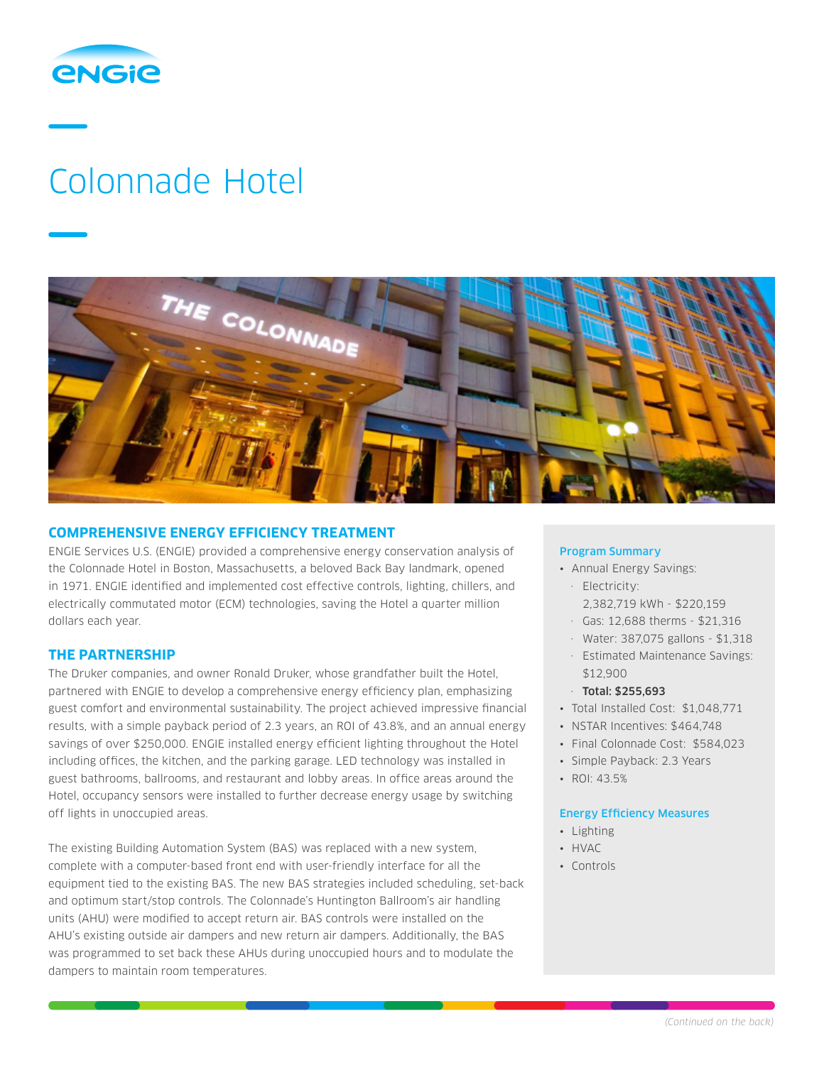

# Colonnade Hotel



# **COMPREHENSIVE ENERGY EFFICIENCY TREATMENT**

ENGIE Services U.S. (ENGIE) provided a comprehensive energy conservation analysis of the Colonnade Hotel in Boston, Massachusetts, a beloved Back Bay landmark, opened in 1971. ENGIE identified and implemented cost effective controls, lighting, chillers, and electrically commutated motor (ECM) technologies, saving the Hotel a quarter million dollars each year.

## **THE PARTNERSHIP**

The Druker companies, and owner Ronald Druker, whose grandfather built the Hotel, partnered with ENGIE to develop a comprehensive energy efficiency plan, emphasizing guest comfort and environmental sustainability. The project achieved impressive financial results, with a simple payback period of 2.3 years, an ROI of 43.8%, and an annual energy savings of over \$250,000. ENGIE installed energy efficient lighting throughout the Hotel including offices, the kitchen, and the parking garage. LED technology was installed in guest bathrooms, ballrooms, and restaurant and lobby areas. In office areas around the Hotel, occupancy sensors were installed to further decrease energy usage by switching off lights in unoccupied areas.

The existing Building Automation System (BAS) was replaced with a new system, complete with a computer-based front end with user-friendly interface for all the equipment tied to the existing BAS. The new BAS strategies included scheduling, set-back and optimum start/stop controls. The Colonnade's Huntington Ballroom's air handling units (AHU) were modified to accept return air. BAS controls were installed on the AHU's existing outside air dampers and new return air dampers. Additionally, the BAS was programmed to set back these AHUs during unoccupied hours and to modulate the dampers to maintain room temperatures.

#### Program Summary

- Annual Energy Savings:
- · Electricity:
	- 2,382,719 kWh \$220,159
- · Gas: 12,688 therms \$21,316
- · Water: 387,075 gallons \$1,318
- · Estimated Maintenance Savings: \$12,900
- · Total: \$255,693
- Total Installed Cost: \$1,048,771
- NSTAR Incentives: \$464,748
- Final Colonnade Cost: \$584,023
- Simple Payback: 2.3 Years
- ROI: 43.5%

## Energy Efficiency Measures

- Lighting
- HVAC
- Controls